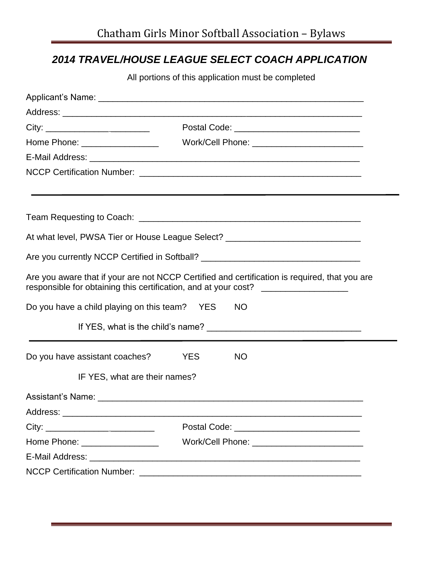## *2014 TRAVEL/HOUSE LEAGUE SELECT COACH APPLICATION*

All portions of this application must be completed

| Home Phone: __________________                                                                                                                                                    |                         |  |  |  |  |  |  |
|-----------------------------------------------------------------------------------------------------------------------------------------------------------------------------------|-------------------------|--|--|--|--|--|--|
|                                                                                                                                                                                   |                         |  |  |  |  |  |  |
|                                                                                                                                                                                   |                         |  |  |  |  |  |  |
|                                                                                                                                                                                   |                         |  |  |  |  |  |  |
|                                                                                                                                                                                   |                         |  |  |  |  |  |  |
| At what level, PWSA Tier or House League Select? _______________________________                                                                                                  |                         |  |  |  |  |  |  |
| Are you currently NCCP Certified in Softball? __________________________________                                                                                                  |                         |  |  |  |  |  |  |
| Are you aware that if your are not NCCP Certified and certification is required, that you are<br>responsible for obtaining this certification, and at your cost? ________________ |                         |  |  |  |  |  |  |
| Do you have a child playing on this team? YES<br><b>NO</b>                                                                                                                        |                         |  |  |  |  |  |  |
|                                                                                                                                                                                   |                         |  |  |  |  |  |  |
| Do you have assistant coaches?                                                                                                                                                    | <b>YES</b><br><b>NO</b> |  |  |  |  |  |  |
| IF YES, what are their names?                                                                                                                                                     |                         |  |  |  |  |  |  |
|                                                                                                                                                                                   |                         |  |  |  |  |  |  |
| Address:                                                                                                                                                                          |                         |  |  |  |  |  |  |
|                                                                                                                                                                                   |                         |  |  |  |  |  |  |
| Home Phone: __________________                                                                                                                                                    |                         |  |  |  |  |  |  |
|                                                                                                                                                                                   |                         |  |  |  |  |  |  |
|                                                                                                                                                                                   |                         |  |  |  |  |  |  |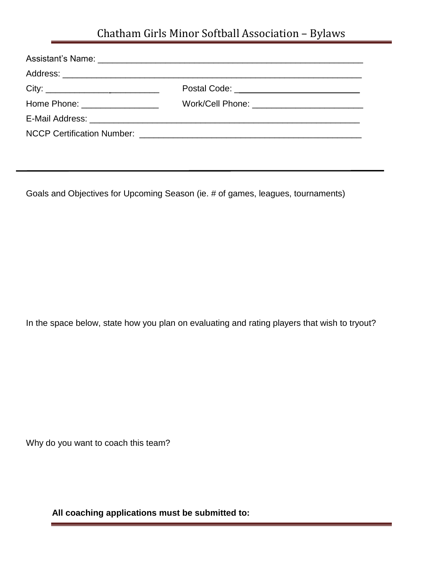## Chatham Girls Minor Softball Association – Bylaws

| Postal Code: _______________________________ |
|----------------------------------------------|
|                                              |
|                                              |
|                                              |

Goals and Objectives for Upcoming Season (ie. # of games, leagues, tournaments)

In the space below, state how you plan on evaluating and rating players that wish to tryout?

Why do you want to coach this team?

**All coaching applications must be submitted to:**